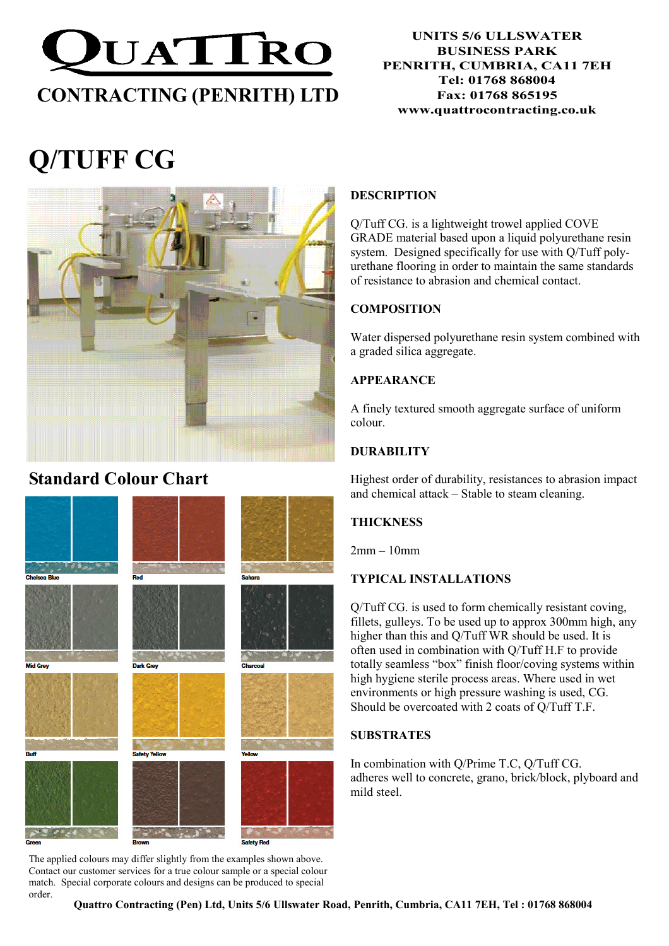

#### UNITS 5/6 ULLSWATER BUSINESS PARK PENRITH, CUMBRIA, CA11 7EH Tel: 01768 868004 Fax: 01768 865195 www.quattrocontracting.co.uk

# Q/TUFF CG



## Standard Colour Chart



The applied colours may differ slightly from the examples shown above. Contact our customer services for a true colour sample or a special colour match. Special corporate colours and designs can be produced to special order.

#### **DESCRIPTION**

Q/Tuff CG. is a lightweight trowel applied COVE GRADE material based upon a liquid polyurethane resin system. Designed specifically for use with Q/Tuff polyurethane flooring in order to maintain the same standards of resistance to abrasion and chemical contact.

#### **COMPOSITION**

Water dispersed polyurethane resin system combined with a graded silica aggregate.

#### APPEARANCE

A finely textured smooth aggregate surface of uniform colour.

#### **DURABILITY**

Highest order of durability, resistances to abrasion impact and chemical attack – Stable to steam cleaning.

#### **THICKNESS**

2mm – 10mm

#### TYPICAL INSTALLATIONS

Q/Tuff CG. is used to form chemically resistant coving, fillets, gulleys. To be used up to approx 300mm high, any higher than this and Q/Tuff WR should be used. It is often used in combination with Q/Tuff H.F to provide totally seamless "box" finish floor/coving systems within high hygiene sterile process areas. Where used in wet environments or high pressure washing is used, CG. Should be overcoated with 2 coats of Q/Tuff T.F.

#### **SUBSTRATES**

In combination with Q/Prime T.C, Q/Tuff CG. adheres well to concrete, grano, brick/block, plyboard and mild steel.